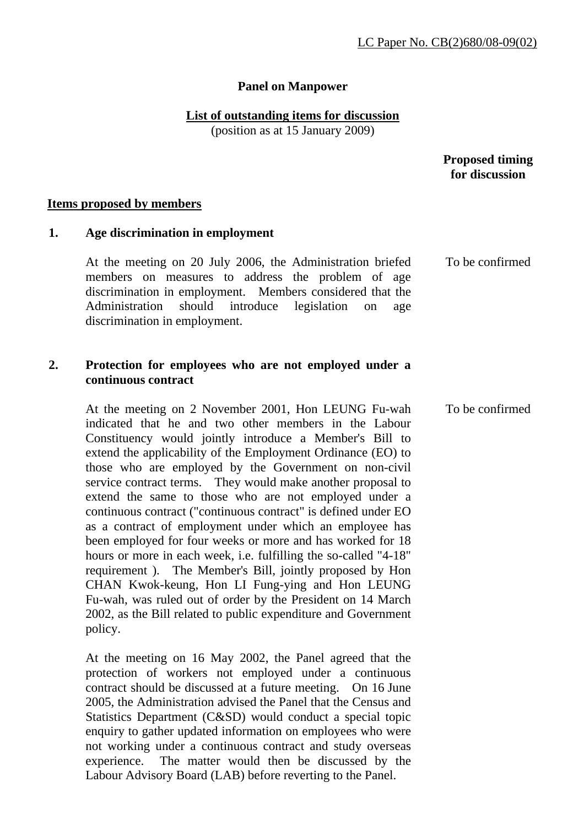## **Panel on Manpower**

## **List of outstanding items for discussion**

(position as at 15 January 2009)

 **Proposed timing for discussion** 

To be confirmed

#### **Items proposed by members**

### **1. Age discrimination in employment**

At the meeting on 20 July 2006, the Administration briefed members on measures to address the problem of age discrimination in employment. Members considered that the Administration should introduce legislation on age discrimination in employment.

## **2. Protection for employees who are not employed under a continuous contract**

At the meeting on 2 November 2001, Hon LEUNG Fu-wah indicated that he and two other members in the Labour Constituency would jointly introduce a Member's Bill to extend the applicability of the Employment Ordinance (EO) to those who are employed by the Government on non-civil service contract terms. They would make another proposal to extend the same to those who are not employed under a continuous contract ("continuous contract" is defined under EO as a contract of employment under which an employee has been employed for four weeks or more and has worked for 18 hours or more in each week, i.e. fulfilling the so-called "4-18" requirement ). The Member's Bill, jointly proposed by Hon CHAN Kwok-keung, Hon LI Fung-ying and Hon LEUNG Fu-wah, was ruled out of order by the President on 14 March 2002, as the Bill related to public expenditure and Government policy. To be confirmed

At the meeting on 16 May 2002, the Panel agreed that the protection of workers not employed under a continuous contract should be discussed at a future meeting. On 16 June 2005, the Administration advised the Panel that the Census and Statistics Department (C&SD) would conduct a special topic enquiry to gather updated information on employees who were not working under a continuous contract and study overseas experience. The matter would then be discussed by the Labour Advisory Board (LAB) before reverting to the Panel.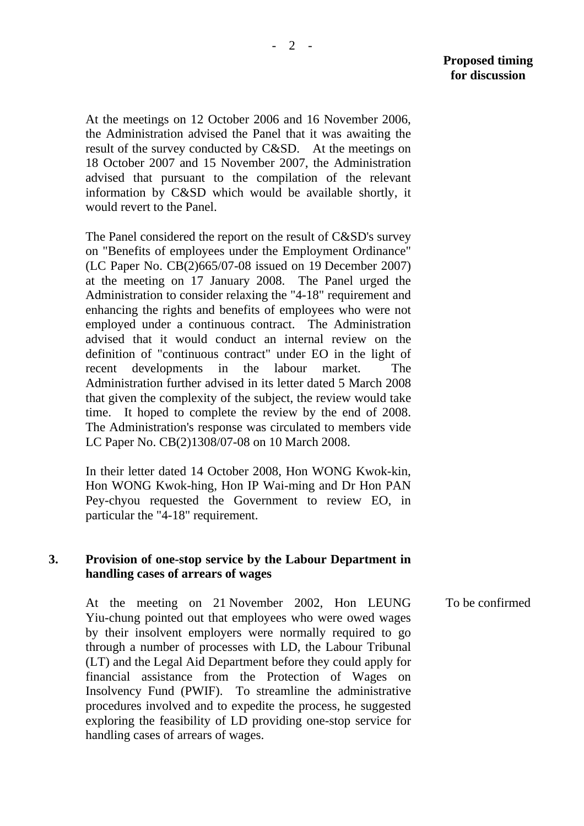At the meetings on 12 October 2006 and 16 November 2006, the Administration advised the Panel that it was awaiting the result of the survey conducted by C&SD. At the meetings on 18 October 2007 and 15 November 2007, the Administration advised that pursuant to the compilation of the relevant information by C&SD which would be available shortly, it would revert to the Panel.

The Panel considered the report on the result of C&SD's survey on "Benefits of employees under the Employment Ordinance" (LC Paper No. CB(2)665/07-08 issued on 19 December 2007) at the meeting on 17 January 2008. The Panel urged the Administration to consider relaxing the "4-18" requirement and enhancing the rights and benefits of employees who were not employed under a continuous contract. The Administration advised that it would conduct an internal review on the definition of "continuous contract" under EO in the light of recent developments in the labour market. The Administration further advised in its letter dated 5 March 2008 that given the complexity of the subject, the review would take time. It hoped to complete the review by the end of 2008. The Administration's response was circulated to members vide LC Paper No. CB(2)1308/07-08 on 10 March 2008.

In their letter dated 14 October 2008, Hon WONG Kwok-kin, Hon WONG Kwok-hing, Hon IP Wai-ming and Dr Hon PAN Pey-chyou requested the Government to review EO, in particular the "4-18" requirement.

### **3. Provision of one-stop service by the Labour Department in handling cases of arrears of wages**

At the meeting on 21 November 2002, Hon LEUNG Yiu-chung pointed out that employees who were owed wages by their insolvent employers were normally required to go through a number of processes with LD, the Labour Tribunal (LT) and the Legal Aid Department before they could apply for financial assistance from the Protection of Wages on Insolvency Fund (PWIF). To streamline the administrative procedures involved and to expedite the process, he suggested exploring the feasibility of LD providing one-stop service for handling cases of arrears of wages. To be confirmed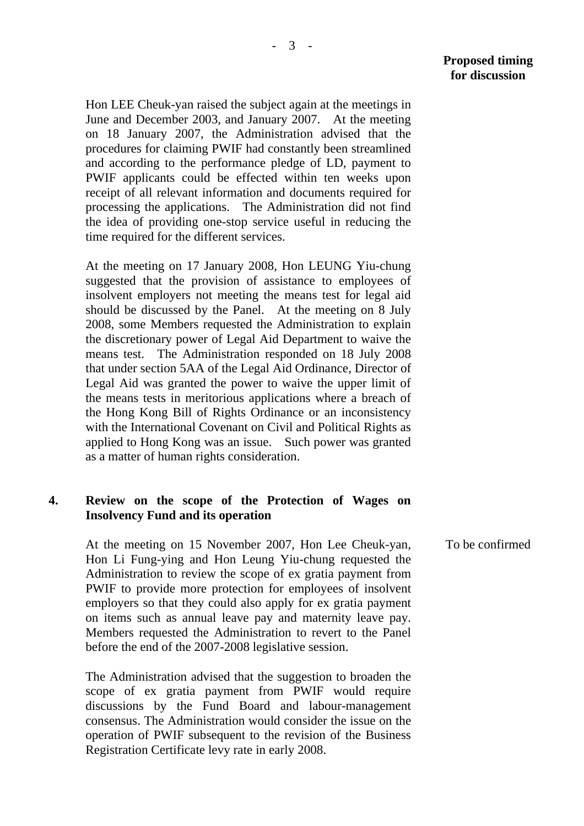Hon LEE Cheuk-yan raised the subject again at the meetings in June and December 2003, and January 2007. At the meeting on 18 January 2007, the Administration advised that the procedures for claiming PWIF had constantly been streamlined and according to the performance pledge of LD, payment to PWIF applicants could be effected within ten weeks upon receipt of all relevant information and documents required for processing the applications. The Administration did not find the idea of providing one-stop service useful in reducing the time required for the different services.

At the meeting on 17 January 2008, Hon LEUNG Yiu-chung suggested that the provision of assistance to employees of insolvent employers not meeting the means test for legal aid should be discussed by the Panel. At the meeting on 8 July 2008, some Members requested the Administration to explain the discretionary power of Legal Aid Department to waive the means test. The Administration responded on 18 July 2008 that under section 5AA of the Legal Aid Ordinance, Director of Legal Aid was granted the power to waive the upper limit of the means tests in meritorious applications where a breach of the Hong Kong Bill of Rights Ordinance or an inconsistency with the International Covenant on Civil and Political Rights as applied to Hong Kong was an issue. Such power was granted as a matter of human rights consideration.

### **4. Review on the scope of the Protection of Wages on Insolvency Fund and its operation**

At the meeting on 15 November 2007, Hon Lee Cheuk-yan, Hon Li Fung-ying and Hon Leung Yiu-chung requested the Administration to review the scope of ex gratia payment from PWIF to provide more protection for employees of insolvent employers so that they could also apply for ex gratia payment on items such as annual leave pay and maternity leave pay. Members requested the Administration to revert to the Panel before the end of the 2007-2008 legislative session.

The Administration advised that the suggestion to broaden the scope of ex gratia payment from PWIF would require discussions by the Fund Board and labour-management consensus. The Administration would consider the issue on the operation of PWIF subsequent to the revision of the Business Registration Certificate levy rate in early 2008.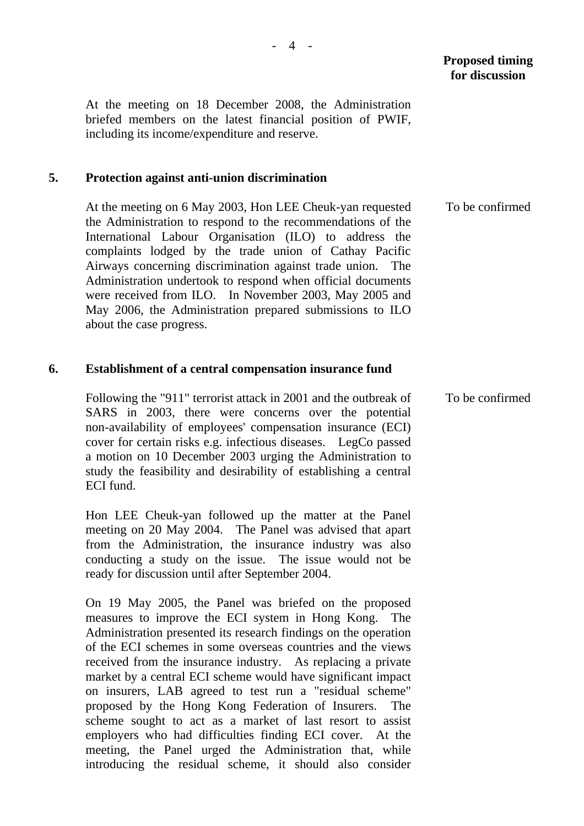At the meeting on 18 December 2008, the Administration briefed members on the latest financial position of PWIF, including its income/expenditure and reserve.

### **5. Protection against anti-union discrimination**

At the meeting on 6 May 2003, Hon LEE Cheuk-yan requested the Administration to respond to the recommendations of the International Labour Organisation (ILO) to address the complaints lodged by the trade union of Cathay Pacific Airways concerning discrimination against trade union. The Administration undertook to respond when official documents were received from ILO. In November 2003, May 2005 and May 2006, the Administration prepared submissions to ILO about the case progress. To be confirmed

#### **6. Establishment of a central compensation insurance fund**

Following the "911" terrorist attack in 2001 and the outbreak of SARS in 2003, there were concerns over the potential non-availability of employees' compensation insurance (ECI) cover for certain risks e.g. infectious diseases. LegCo passed a motion on 10 December 2003 urging the Administration to study the feasibility and desirability of establishing a central ECI fund. To be confirmed

Hon LEE Cheuk-yan followed up the matter at the Panel meeting on 20 May 2004. The Panel was advised that apart from the Administration, the insurance industry was also conducting a study on the issue. The issue would not be ready for discussion until after September 2004.

On 19 May 2005, the Panel was briefed on the proposed measures to improve the ECI system in Hong Kong. The Administration presented its research findings on the operation of the ECI schemes in some overseas countries and the views received from the insurance industry. As replacing a private market by a central ECI scheme would have significant impact on insurers, LAB agreed to test run a "residual scheme" proposed by the Hong Kong Federation of Insurers. The scheme sought to act as a market of last resort to assist employers who had difficulties finding ECI cover. At the meeting, the Panel urged the Administration that, while introducing the residual scheme, it should also consider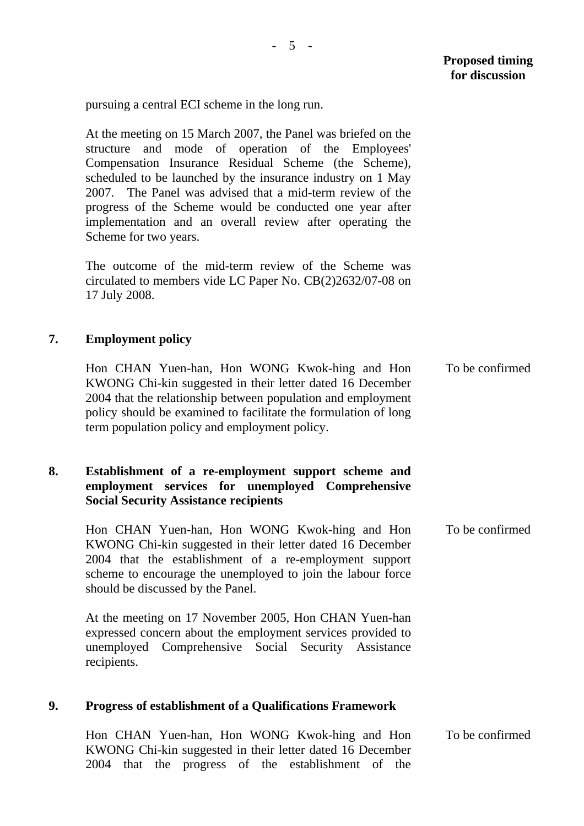pursuing a central ECI scheme in the long run.

At the meeting on 15 March 2007, the Panel was briefed on the structure and mode of operation of the Employees' Compensation Insurance Residual Scheme (the Scheme), scheduled to be launched by the insurance industry on 1 May 2007. The Panel was advised that a mid-term review of the progress of the Scheme would be conducted one year after implementation and an overall review after operating the Scheme for two years.

The outcome of the mid-term review of the Scheme was circulated to members vide LC Paper No. CB(2)2632/07-08 on 17 July 2008.

## **7. Employment policy**

Hon CHAN Yuen-han, Hon WONG Kwok-hing and Hon KWONG Chi-kin suggested in their letter dated 16 December 2004 that the relationship between population and employment policy should be examined to facilitate the formulation of long term population policy and employment policy. To be confirmed

## **8. Establishment of a re-employment support scheme and employment services for unemployed Comprehensive Social Security Assistance recipients**

Hon CHAN Yuen-han, Hon WONG Kwok-hing and Hon KWONG Chi-kin suggested in their letter dated 16 December 2004 that the establishment of a re-employment support scheme to encourage the unemployed to join the labour force should be discussed by the Panel. To be confirmed

At the meeting on 17 November 2005, Hon CHAN Yuen-han expressed concern about the employment services provided to unemployed Comprehensive Social Security Assistance recipients.

#### **9. Progress of establishment of a Qualifications Framework**

Hon CHAN Yuen-han, Hon WONG Kwok-hing and Hon KWONG Chi-kin suggested in their letter dated 16 December 2004 that the progress of the establishment of the To be confirmed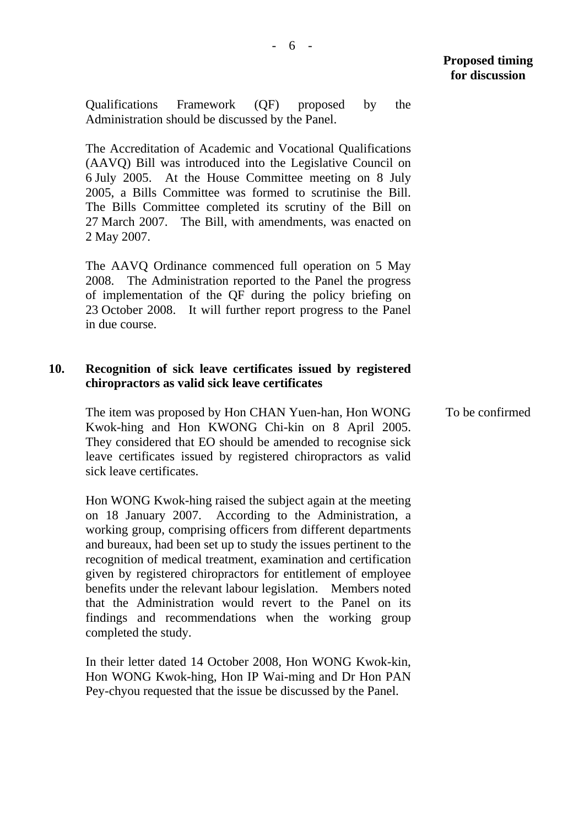Qualifications Framework (QF) proposed by the Administration should be discussed by the Panel.

The Accreditation of Academic and Vocational Qualifications (AAVQ) Bill was introduced into the Legislative Council on 6 July 2005. At the House Committee meeting on 8 July 2005, a Bills Committee was formed to scrutinise the Bill. The Bills Committee completed its scrutiny of the Bill on 27 March 2007. The Bill, with amendments, was enacted on 2 May 2007.

The AAVQ Ordinance commenced full operation on 5 May 2008. The Administration reported to the Panel the progress of implementation of the QF during the policy briefing on 23 October 2008. It will further report progress to the Panel in due course.

### **10. Recognition of sick leave certificates issued by registered chiropractors as valid sick leave certificates**

The item was proposed by Hon CHAN Yuen-han, Hon WONG Kwok-hing and Hon KWONG Chi-kin on 8 April 2005. They considered that EO should be amended to recognise sick leave certificates issued by registered chiropractors as valid sick leave certificates.

Hon WONG Kwok-hing raised the subject again at the meeting on 18 January 2007. According to the Administration, a working group, comprising officers from different departments and bureaux, had been set up to study the issues pertinent to the recognition of medical treatment, examination and certification given by registered chiropractors for entitlement of employee benefits under the relevant labour legislation. Members noted that the Administration would revert to the Panel on its findings and recommendations when the working group completed the study.

In their letter dated 14 October 2008, Hon WONG Kwok-kin, Hon WONG Kwok-hing, Hon IP Wai-ming and Dr Hon PAN Pey-chyou requested that the issue be discussed by the Panel.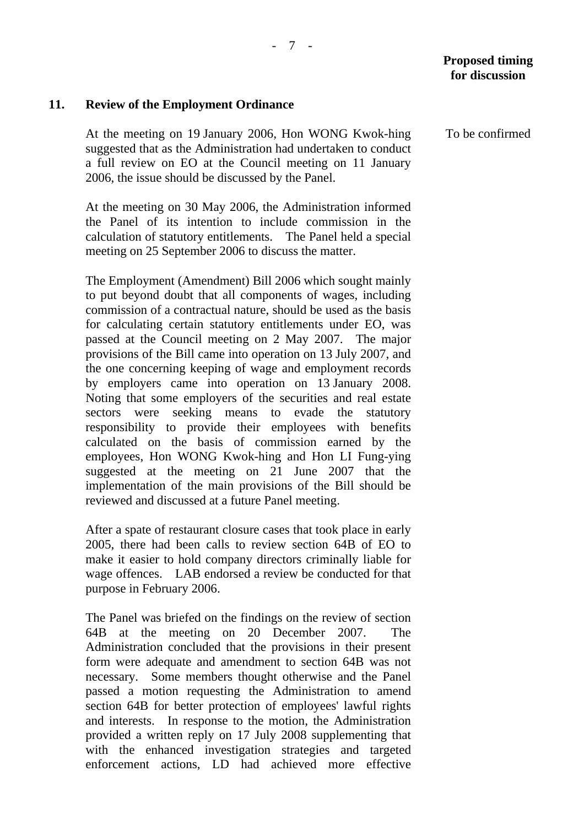# **11. Review of the Employment Ordinance**

At the meeting on 19 January 2006, Hon WONG Kwok-hing suggested that as the Administration had undertaken to conduct a full review on EO at the Council meeting on 11 January 2006, the issue should be discussed by the Panel.

At the meeting on 30 May 2006, the Administration informed the Panel of its intention to include commission in the calculation of statutory entitlements. The Panel held a special meeting on 25 September 2006 to discuss the matter.

The Employment (Amendment) Bill 2006 which sought mainly to put beyond doubt that all components of wages, including commission of a contractual nature, should be used as the basis for calculating certain statutory entitlements under EO, was passed at the Council meeting on 2 May 2007. The major provisions of the Bill came into operation on 13 July 2007, and the one concerning keeping of wage and employment records by employers came into operation on 13 January 2008. Noting that some employers of the securities and real estate sectors were seeking means to evade the statutory responsibility to provide their employees with benefits calculated on the basis of commission earned by the employees, Hon WONG Kwok-hing and Hon LI Fung-ying suggested at the meeting on 21 June 2007 that the implementation of the main provisions of the Bill should be reviewed and discussed at a future Panel meeting.

After a spate of restaurant closure cases that took place in early 2005, there had been calls to review section 64B of EO to make it easier to hold company directors criminally liable for wage offences. LAB endorsed a review be conducted for that purpose in February 2006.

The Panel was briefed on the findings on the review of section 64B at the meeting on 20 December 2007. The Administration concluded that the provisions in their present form were adequate and amendment to section 64B was not necessary. Some members thought otherwise and the Panel passed a motion requesting the Administration to amend section 64B for better protection of employees' lawful rights and interests. In response to the motion, the Administration provided a written reply on 17 July 2008 supplementing that with the enhanced investigation strategies and targeted enforcement actions, LD had achieved more effective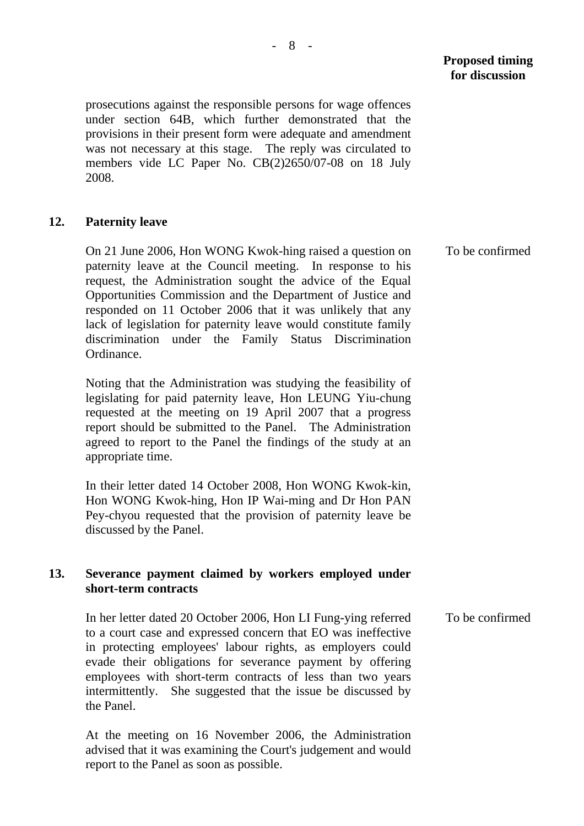prosecutions against the responsible persons for wage offences under section 64B, which further demonstrated that the provisions in their present form were adequate and amendment was not necessary at this stage. The reply was circulated to members vide LC Paper No. CB(2)2650/07-08 on 18 July 2008.

## **12. Paternity leave**

On 21 June 2006, Hon WONG Kwok-hing raised a question on paternity leave at the Council meeting. In response to his request, the Administration sought the advice of the Equal Opportunities Commission and the Department of Justice and responded on 11 October 2006 that it was unlikely that any lack of legislation for paternity leave would constitute family discrimination under the Family Status Discrimination Ordinance.

Noting that the Administration was studying the feasibility of legislating for paid paternity leave, Hon LEUNG Yiu-chung requested at the meeting on 19 April 2007 that a progress report should be submitted to the Panel. The Administration agreed to report to the Panel the findings of the study at an appropriate time.

In their letter dated 14 October 2008, Hon WONG Kwok-kin, Hon WONG Kwok-hing, Hon IP Wai-ming and Dr Hon PAN Pey-chyou requested that the provision of paternity leave be discussed by the Panel.

## **13. Severance payment claimed by workers employed under short-term contracts**

In her letter dated 20 October 2006, Hon LI Fung-ying referred to a court case and expressed concern that EO was ineffective in protecting employees' labour rights, as employers could evade their obligations for severance payment by offering employees with short-term contracts of less than two years intermittently. She suggested that the issue be discussed by the Panel. To be confirmed

At the meeting on 16 November 2006, the Administration advised that it was examining the Court's judgement and would report to the Panel as soon as possible.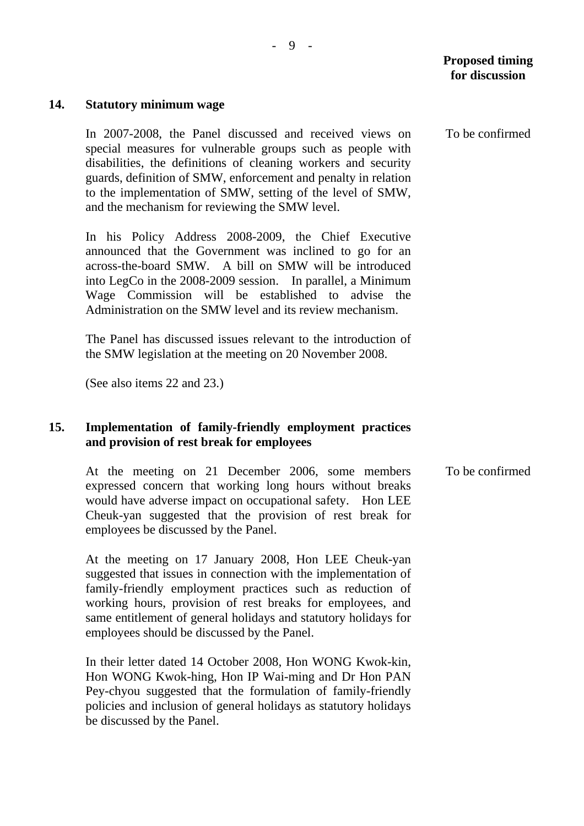#### **14. Statutory minimum wage**

In 2007-2008, the Panel discussed and received views on special measures for vulnerable groups such as people with disabilities, the definitions of cleaning workers and security guards, definition of SMW, enforcement and penalty in relation to the implementation of SMW, setting of the level of SMW, and the mechanism for reviewing the SMW level.

In his Policy Address 2008-2009, the Chief Executive announced that the Government was inclined to go for an across-the-board SMW. A bill on SMW will be introduced into LegCo in the 2008-2009 session. In parallel, a Minimum Wage Commission will be established to advise the Administration on the SMW level and its review mechanism.

The Panel has discussed issues relevant to the introduction of the SMW legislation at the meeting on 20 November 2008.

(See also items 22 and 23.)

### **15. Implementation of family-friendly employment practices and provision of rest break for employees**

At the meeting on 21 December 2006, some members expressed concern that working long hours without breaks would have adverse impact on occupational safety. Hon LEE Cheuk-yan suggested that the provision of rest break for employees be discussed by the Panel. To be confirmed

At the meeting on 17 January 2008, Hon LEE Cheuk-yan suggested that issues in connection with the implementation of family-friendly employment practices such as reduction of working hours, provision of rest breaks for employees, and same entitlement of general holidays and statutory holidays for employees should be discussed by the Panel.

In their letter dated 14 October 2008, Hon WONG Kwok-kin, Hon WONG Kwok-hing, Hon IP Wai-ming and Dr Hon PAN Pey-chyou suggested that the formulation of family-friendly policies and inclusion of general holidays as statutory holidays be discussed by the Panel.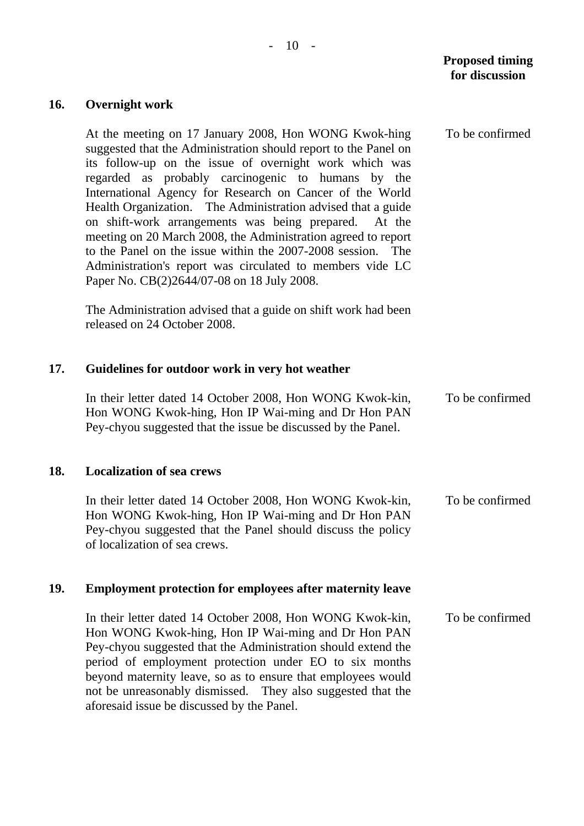## **Proposed timing for discussion**

To be confirmed

### **16. Overnight work**

At the meeting on 17 January 2008, Hon WONG Kwok-hing suggested that the Administration should report to the Panel on its follow-up on the issue of overnight work which was regarded as probably carcinogenic to humans by the International Agency for Research on Cancer of the World Health Organization. The Administration advised that a guide on shift-work arrangements was being prepared. At the meeting on 20 March 2008, the Administration agreed to report to the Panel on the issue within the 2007-2008 session. The Administration's report was circulated to members vide LC Paper No. CB(2)2644/07-08 on 18 July 2008.

The Administration advised that a guide on shift work had been released on 24 October 2008.

#### **17. Guidelines for outdoor work in very hot weather**

In their letter dated 14 October 2008, Hon WONG Kwok-kin, Hon WONG Kwok-hing, Hon IP Wai-ming and Dr Hon PAN Pey-chyou suggested that the issue be discussed by the Panel. To be confirmed

#### **18. Localization of sea crews**

In their letter dated 14 October 2008, Hon WONG Kwok-kin, Hon WONG Kwok-hing, Hon IP Wai-ming and Dr Hon PAN Pey-chyou suggested that the Panel should discuss the policy of localization of sea crews. To be confirmed

#### **19. Employment protection for employees after maternity leave**

In their letter dated 14 October 2008, Hon WONG Kwok-kin, Hon WONG Kwok-hing, Hon IP Wai-ming and Dr Hon PAN Pey-chyou suggested that the Administration should extend the period of employment protection under EO to six months beyond maternity leave, so as to ensure that employees would not be unreasonably dismissed. They also suggested that the aforesaid issue be discussed by the Panel. To be confirmed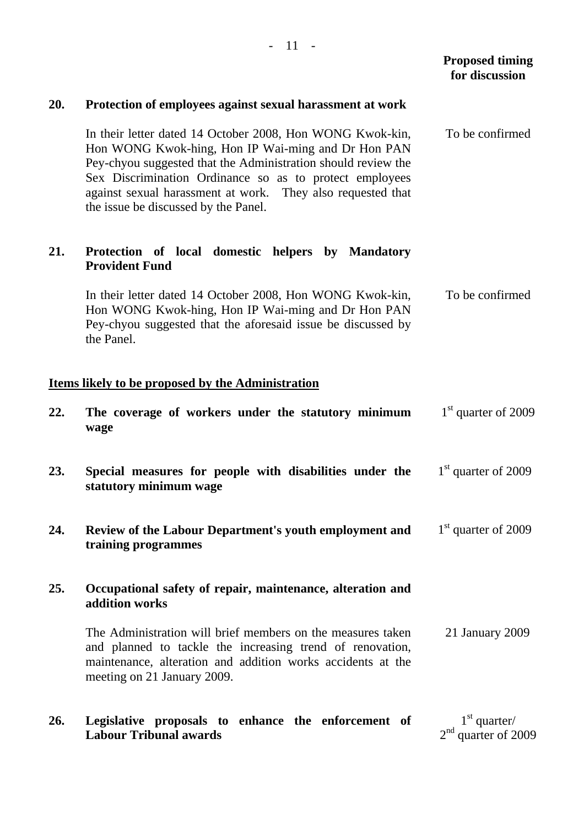|     |                                                                                                                                                                                                                                                                                                                                                    | <b>Proposed timing</b><br>for discussion |
|-----|----------------------------------------------------------------------------------------------------------------------------------------------------------------------------------------------------------------------------------------------------------------------------------------------------------------------------------------------------|------------------------------------------|
| 20. | Protection of employees against sexual harassment at work                                                                                                                                                                                                                                                                                          |                                          |
|     | In their letter dated 14 October 2008, Hon WONG Kwok-kin,<br>Hon WONG Kwok-hing, Hon IP Wai-ming and Dr Hon PAN<br>Pey-chyou suggested that the Administration should review the<br>Sex Discrimination Ordinance so as to protect employees<br>against sexual harassment at work. They also requested that<br>the issue be discussed by the Panel. | To be confirmed                          |
| 21. | Protection of local domestic helpers by Mandatory<br><b>Provident Fund</b>                                                                                                                                                                                                                                                                         |                                          |
|     | In their letter dated 14 October 2008, Hon WONG Kwok-kin,<br>Hon WONG Kwok-hing, Hon IP Wai-ming and Dr Hon PAN<br>Pey-chyou suggested that the aforesaid issue be discussed by<br>the Panel.                                                                                                                                                      | To be confirmed                          |
|     | <b>Items likely to be proposed by the Administration</b>                                                                                                                                                                                                                                                                                           |                                          |
| 22. | The coverage of workers under the statutory minimum<br>wage                                                                                                                                                                                                                                                                                        | $1st$ quarter of 2009                    |
| 23. | Special measures for people with disabilities under the<br>statutory minimum wage                                                                                                                                                                                                                                                                  | $1st$ quarter of 2009                    |
| 24. | Review of the Labour Department's youth employment and<br>training programmes                                                                                                                                                                                                                                                                      | $1st$ quarter of 2009                    |
| 25. | Occupational safety of repair, maintenance, alteration and<br>addition works                                                                                                                                                                                                                                                                       |                                          |
|     | The Administration will brief members on the measures taken<br>and planned to tackle the increasing trend of renovation,<br>maintenance, alteration and addition works accidents at the<br>meeting on 21 January 2009.                                                                                                                             | 21 January 2009                          |
|     |                                                                                                                                                                                                                                                                                                                                                    |                                          |

**26. Legislative proposals to enhance the enforcement of Labour Tribunal awards**   $1<sup>st</sup>$  quarter/  $2<sup>nd</sup>$  quarter of 2009